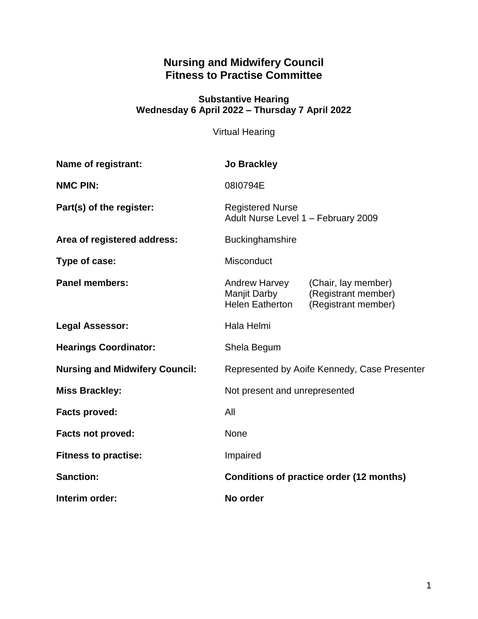# **Nursing and Midwifery Council Fitness to Practise Committee**

#### **Substantive Hearing Wednesday 6 April 2022 – Thursday 7 April 2022**

Virtual Hearing

| Name of registrant:                   | <b>Jo Brackley</b>                                             |                                                                   |
|---------------------------------------|----------------------------------------------------------------|-------------------------------------------------------------------|
| <b>NMC PIN:</b>                       | 08I0794E                                                       |                                                                   |
| Part(s) of the register:              | <b>Registered Nurse</b><br>Adult Nurse Level 1 - February 2009 |                                                                   |
| Area of registered address:           | Buckinghamshire                                                |                                                                   |
| Type of case:                         | Misconduct                                                     |                                                                   |
| <b>Panel members:</b>                 | <b>Andrew Harvey</b><br>Manjit Darby<br><b>Helen Eatherton</b> | (Chair, lay member)<br>(Registrant member)<br>(Registrant member) |
| <b>Legal Assessor:</b>                | Hala Helmi                                                     |                                                                   |
| <b>Hearings Coordinator:</b>          | Shela Begum                                                    |                                                                   |
| <b>Nursing and Midwifery Council:</b> | Represented by Aoife Kennedy, Case Presenter                   |                                                                   |
| <b>Miss Brackley:</b>                 | Not present and unrepresented                                  |                                                                   |
| <b>Facts proved:</b>                  | All                                                            |                                                                   |
| <b>Facts not proved:</b>              | None                                                           |                                                                   |
| <b>Fitness to practise:</b>           | Impaired                                                       |                                                                   |
| <b>Sanction:</b>                      | Conditions of practice order (12 months)                       |                                                                   |
| Interim order:                        | No order                                                       |                                                                   |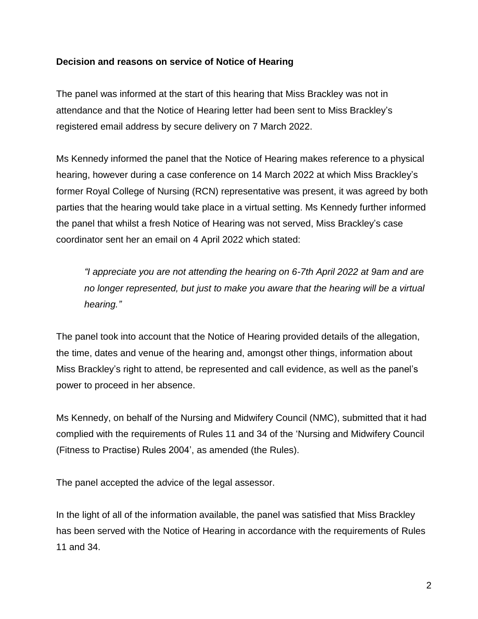# **Decision and reasons on service of Notice of Hearing**

The panel was informed at the start of this hearing that Miss Brackley was not in attendance and that the Notice of Hearing letter had been sent to Miss Brackley's registered email address by secure delivery on 7 March 2022.

Ms Kennedy informed the panel that the Notice of Hearing makes reference to a physical hearing, however during a case conference on 14 March 2022 at which Miss Brackley's former Royal College of Nursing (RCN) representative was present, it was agreed by both parties that the hearing would take place in a virtual setting. Ms Kennedy further informed the panel that whilst a fresh Notice of Hearing was not served, Miss Brackley's case coordinator sent her an email on 4 April 2022 which stated:

*"I appreciate you are not attending the hearing on 6-7th April 2022 at 9am and are no longer represented, but just to make you aware that the hearing will be a virtual hearing."*

The panel took into account that the Notice of Hearing provided details of the allegation, the time, dates and venue of the hearing and, amongst other things, information about Miss Brackley's right to attend, be represented and call evidence, as well as the panel's power to proceed in her absence.

Ms Kennedy, on behalf of the Nursing and Midwifery Council (NMC), submitted that it had complied with the requirements of Rules 11 and 34 of the 'Nursing and Midwifery Council (Fitness to Practise) Rules 2004', as amended (the Rules).

The panel accepted the advice of the legal assessor.

In the light of all of the information available, the panel was satisfied that Miss Brackley has been served with the Notice of Hearing in accordance with the requirements of Rules 11 and 34.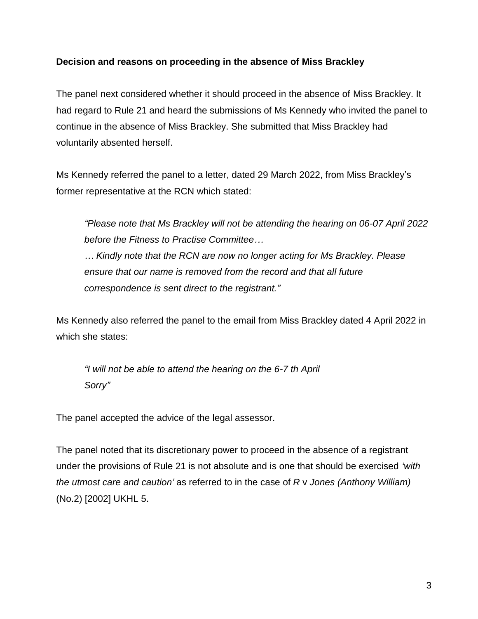# **Decision and reasons on proceeding in the absence of Miss Brackley**

The panel next considered whether it should proceed in the absence of Miss Brackley. It had regard to Rule 21 and heard the submissions of Ms Kennedy who invited the panel to continue in the absence of Miss Brackley. She submitted that Miss Brackley had voluntarily absented herself.

Ms Kennedy referred the panel to a letter, dated 29 March 2022, from Miss Brackley's former representative at the RCN which stated:

*"Please note that Ms Brackley will not be attending the hearing on 06-07 April 2022 before the Fitness to Practise Committee…*

*… Kindly note that the RCN are now no longer acting for Ms Brackley. Please ensure that our name is removed from the record and that all future correspondence is sent direct to the registrant."*

Ms Kennedy also referred the panel to the email from Miss Brackley dated 4 April 2022 in which she states:

*"I will not be able to attend the hearing on the 6-7 th April Sorry"*

The panel accepted the advice of the legal assessor.

The panel noted that its discretionary power to proceed in the absence of a registrant under the provisions of Rule 21 is not absolute and is one that should be exercised *'with the utmost care and caution'* as referred to in the case of *R* v *Jones (Anthony William)* (No.2) [2002] UKHL 5.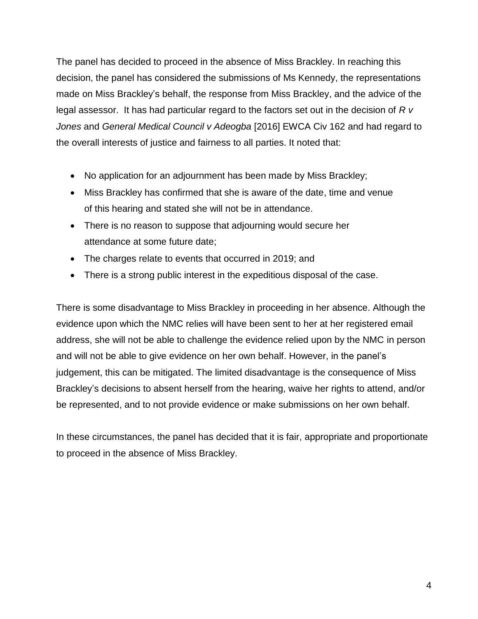The panel has decided to proceed in the absence of Miss Brackley. In reaching this decision, the panel has considered the submissions of Ms Kennedy, the representations made on Miss Brackley's behalf, the response from Miss Brackley, and the advice of the legal assessor. It has had particular regard to the factors set out in the decision of *R v Jones* and *General Medical Council v Adeogba* [2016] EWCA Civ 162 and had regard to the overall interests of justice and fairness to all parties. It noted that:

- No application for an adjournment has been made by Miss Brackley;
- Miss Brackley has confirmed that she is aware of the date, time and venue of this hearing and stated she will not be in attendance.
- There is no reason to suppose that adjourning would secure her attendance at some future date;
- The charges relate to events that occurred in 2019; and
- There is a strong public interest in the expeditious disposal of the case.

There is some disadvantage to Miss Brackley in proceeding in her absence. Although the evidence upon which the NMC relies will have been sent to her at her registered email address, she will not be able to challenge the evidence relied upon by the NMC in person and will not be able to give evidence on her own behalf. However, in the panel's judgement, this can be mitigated. The limited disadvantage is the consequence of Miss Brackley's decisions to absent herself from the hearing, waive her rights to attend, and/or be represented, and to not provide evidence or make submissions on her own behalf.

In these circumstances, the panel has decided that it is fair, appropriate and proportionate to proceed in the absence of Miss Brackley.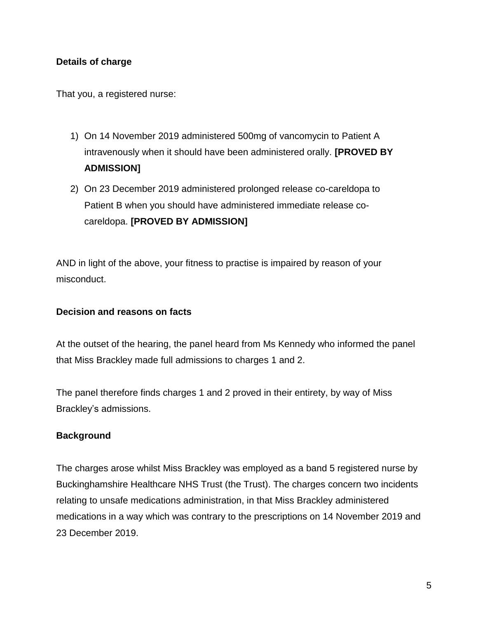# **Details of charge**

That you, a registered nurse:

- 1) On 14 November 2019 administered 500mg of vancomycin to Patient A intravenously when it should have been administered orally. **[PROVED BY ADMISSION]**
- 2) On 23 December 2019 administered prolonged release co-careldopa to Patient B when you should have administered immediate release cocareldopa. **[PROVED BY ADMISSION]**

AND in light of the above, your fitness to practise is impaired by reason of your misconduct.

# **Decision and reasons on facts**

At the outset of the hearing, the panel heard from Ms Kennedy who informed the panel that Miss Brackley made full admissions to charges 1 and 2.

The panel therefore finds charges 1 and 2 proved in their entirety, by way of Miss Brackley's admissions.

# **Background**

The charges arose whilst Miss Brackley was employed as a band 5 registered nurse by Buckinghamshire Healthcare NHS Trust (the Trust). The charges concern two incidents relating to unsafe medications administration, in that Miss Brackley administered medications in a way which was contrary to the prescriptions on 14 November 2019 and 23 December 2019.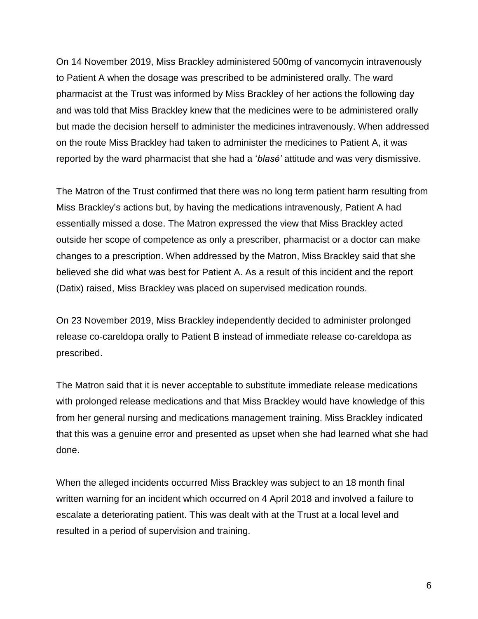On 14 November 2019, Miss Brackley administered 500mg of vancomycin intravenously to Patient A when the dosage was prescribed to be administered orally. The ward pharmacist at the Trust was informed by Miss Brackley of her actions the following day and was told that Miss Brackley knew that the medicines were to be administered orally but made the decision herself to administer the medicines intravenously. When addressed on the route Miss Brackley had taken to administer the medicines to Patient A, it was reported by the ward pharmacist that she had a '*blasé'* attitude and was very dismissive.

The Matron of the Trust confirmed that there was no long term patient harm resulting from Miss Brackley's actions but, by having the medications intravenously, Patient A had essentially missed a dose. The Matron expressed the view that Miss Brackley acted outside her scope of competence as only a prescriber, pharmacist or a doctor can make changes to a prescription. When addressed by the Matron, Miss Brackley said that she believed she did what was best for Patient A. As a result of this incident and the report (Datix) raised, Miss Brackley was placed on supervised medication rounds.

On 23 November 2019, Miss Brackley independently decided to administer prolonged release co-careldopa orally to Patient B instead of immediate release co-careldopa as prescribed.

The Matron said that it is never acceptable to substitute immediate release medications with prolonged release medications and that Miss Brackley would have knowledge of this from her general nursing and medications management training. Miss Brackley indicated that this was a genuine error and presented as upset when she had learned what she had done.

When the alleged incidents occurred Miss Brackley was subject to an 18 month final written warning for an incident which occurred on 4 April 2018 and involved a failure to escalate a deteriorating patient. This was dealt with at the Trust at a local level and resulted in a period of supervision and training.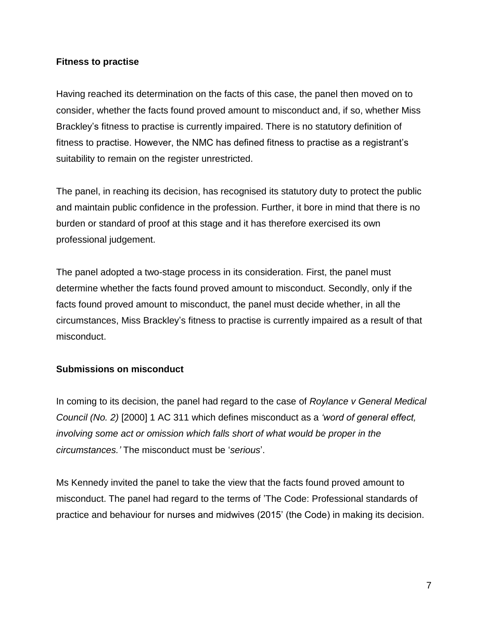## **Fitness to practise**

Having reached its determination on the facts of this case, the panel then moved on to consider, whether the facts found proved amount to misconduct and, if so, whether Miss Brackley's fitness to practise is currently impaired. There is no statutory definition of fitness to practise. However, the NMC has defined fitness to practise as a registrant's suitability to remain on the register unrestricted.

The panel, in reaching its decision, has recognised its statutory duty to protect the public and maintain public confidence in the profession. Further, it bore in mind that there is no burden or standard of proof at this stage and it has therefore exercised its own professional judgement.

The panel adopted a two-stage process in its consideration. First, the panel must determine whether the facts found proved amount to misconduct. Secondly, only if the facts found proved amount to misconduct, the panel must decide whether, in all the circumstances, Miss Brackley's fitness to practise is currently impaired as a result of that misconduct.

# **Submissions on misconduct**

In coming to its decision, the panel had regard to the case of *Roylance v General Medical Council (No. 2)* [2000] 1 AC 311 which defines misconduct as a *'word of general effect, involving some act or omission which falls short of what would be proper in the circumstances.'* The misconduct must be '*serious*'.

Ms Kennedy invited the panel to take the view that the facts found proved amount to misconduct. The panel had regard to the terms of 'The Code: Professional standards of practice and behaviour for nurses and midwives (2015' (the Code) in making its decision.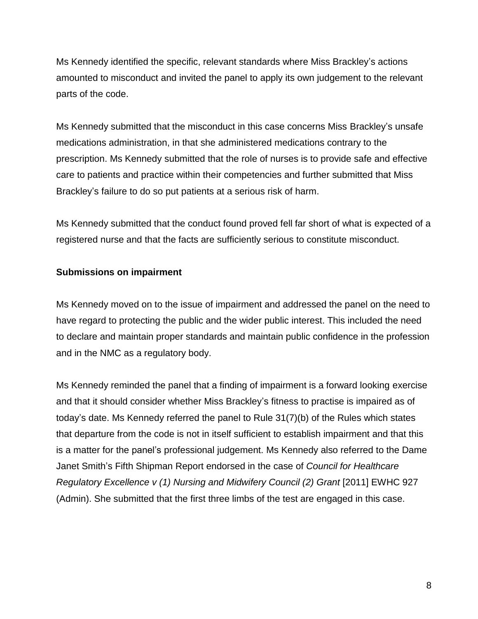Ms Kennedy identified the specific, relevant standards where Miss Brackley's actions amounted to misconduct and invited the panel to apply its own judgement to the relevant parts of the code.

Ms Kennedy submitted that the misconduct in this case concerns Miss Brackley's unsafe medications administration, in that she administered medications contrary to the prescription. Ms Kennedy submitted that the role of nurses is to provide safe and effective care to patients and practice within their competencies and further submitted that Miss Brackley's failure to do so put patients at a serious risk of harm.

Ms Kennedy submitted that the conduct found proved fell far short of what is expected of a registered nurse and that the facts are sufficiently serious to constitute misconduct.

# **Submissions on impairment**

Ms Kennedy moved on to the issue of impairment and addressed the panel on the need to have regard to protecting the public and the wider public interest. This included the need to declare and maintain proper standards and maintain public confidence in the profession and in the NMC as a regulatory body.

Ms Kennedy reminded the panel that a finding of impairment is a forward looking exercise and that it should consider whether Miss Brackley's fitness to practise is impaired as of today's date. Ms Kennedy referred the panel to Rule 31(7)(b) of the Rules which states that departure from the code is not in itself sufficient to establish impairment and that this is a matter for the panel's professional judgement. Ms Kennedy also referred to the Dame Janet Smith's Fifth Shipman Report endorsed in the case of *Council for Healthcare Regulatory Excellence v (1) Nursing and Midwifery Council (2) Grant [2011] EWHC 927* (Admin). She submitted that the first three limbs of the test are engaged in this case.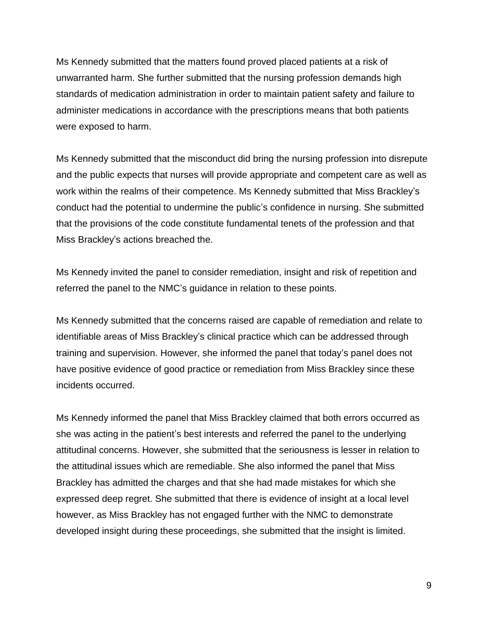Ms Kennedy submitted that the matters found proved placed patients at a risk of unwarranted harm. She further submitted that the nursing profession demands high standards of medication administration in order to maintain patient safety and failure to administer medications in accordance with the prescriptions means that both patients were exposed to harm.

Ms Kennedy submitted that the misconduct did bring the nursing profession into disrepute and the public expects that nurses will provide appropriate and competent care as well as work within the realms of their competence. Ms Kennedy submitted that Miss Brackley's conduct had the potential to undermine the public's confidence in nursing. She submitted that the provisions of the code constitute fundamental tenets of the profession and that Miss Brackley's actions breached the.

Ms Kennedy invited the panel to consider remediation, insight and risk of repetition and referred the panel to the NMC's guidance in relation to these points.

Ms Kennedy submitted that the concerns raised are capable of remediation and relate to identifiable areas of Miss Brackley's clinical practice which can be addressed through training and supervision. However, she informed the panel that today's panel does not have positive evidence of good practice or remediation from Miss Brackley since these incidents occurred.

Ms Kennedy informed the panel that Miss Brackley claimed that both errors occurred as she was acting in the patient's best interests and referred the panel to the underlying attitudinal concerns. However, she submitted that the seriousness is lesser in relation to the attitudinal issues which are remediable. She also informed the panel that Miss Brackley has admitted the charges and that she had made mistakes for which she expressed deep regret. She submitted that there is evidence of insight at a local level however, as Miss Brackley has not engaged further with the NMC to demonstrate developed insight during these proceedings, she submitted that the insight is limited.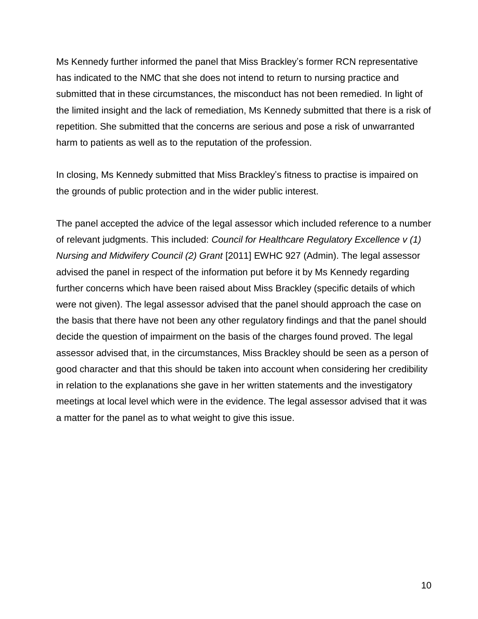Ms Kennedy further informed the panel that Miss Brackley's former RCN representative has indicated to the NMC that she does not intend to return to nursing practice and submitted that in these circumstances, the misconduct has not been remedied. In light of the limited insight and the lack of remediation, Ms Kennedy submitted that there is a risk of repetition. She submitted that the concerns are serious and pose a risk of unwarranted harm to patients as well as to the reputation of the profession.

In closing, Ms Kennedy submitted that Miss Brackley's fitness to practise is impaired on the grounds of public protection and in the wider public interest.

The panel accepted the advice of the legal assessor which included reference to a number of relevant judgments. This included: *Council for Healthcare Regulatory Excellence v (1) Nursing and Midwifery Council (2) Grant* [2011] EWHC 927 (Admin). The legal assessor advised the panel in respect of the information put before it by Ms Kennedy regarding further concerns which have been raised about Miss Brackley (specific details of which were not given). The legal assessor advised that the panel should approach the case on the basis that there have not been any other regulatory findings and that the panel should decide the question of impairment on the basis of the charges found proved. The legal assessor advised that, in the circumstances, Miss Brackley should be seen as a person of good character and that this should be taken into account when considering her credibility in relation to the explanations she gave in her written statements and the investigatory meetings at local level which were in the evidence. The legal assessor advised that it was a matter for the panel as to what weight to give this issue.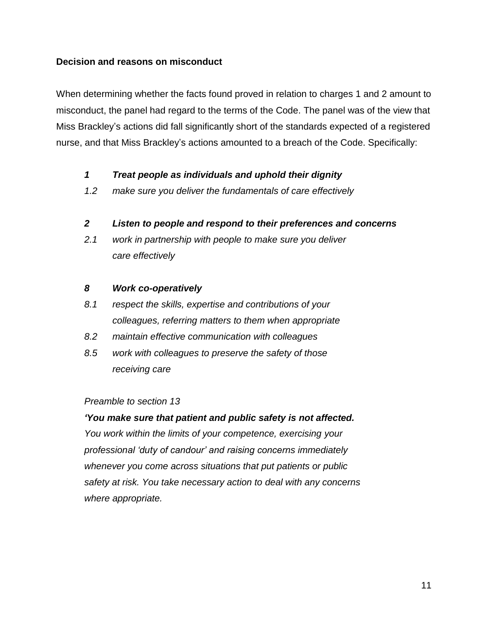# **Decision and reasons on misconduct**

When determining whether the facts found proved in relation to charges 1 and 2 amount to misconduct, the panel had regard to the terms of the Code. The panel was of the view that Miss Brackley's actions did fall significantly short of the standards expected of a registered nurse, and that Miss Brackley's actions amounted to a breach of the Code. Specifically:

### *1 Treat people as individuals and uphold their dignity*

*1.2 make sure you deliver the fundamentals of care effectively*

### *2 Listen to people and respond to their preferences and concerns*

*2.1 work in partnership with people to make sure you deliver care effectively*

### *8 Work co-operatively*

- *8.1 respect the skills, expertise and contributions of your colleagues, referring matters to them when appropriate*
- *8.2 maintain effective communication with colleagues*
- *8.5 work with colleagues to preserve the safety of those receiving care*

#### *Preamble to section 13*

*'You make sure that patient and public safety is not affected. You work within the limits of your competence, exercising your professional 'duty of candour' and raising concerns immediately whenever you come across situations that put patients or public safety at risk. You take necessary action to deal with any concerns where appropriate.*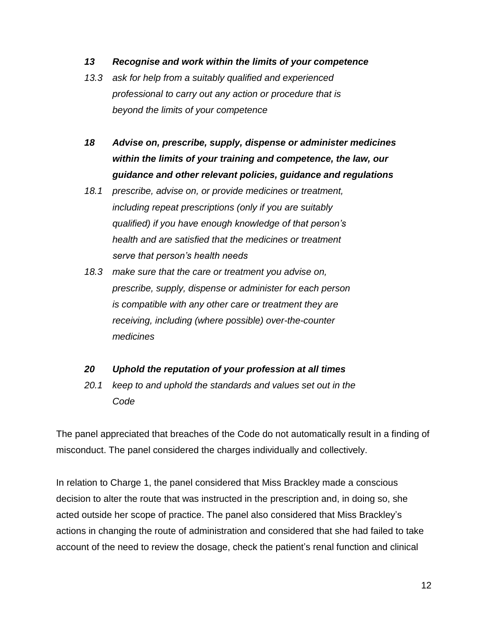#### *13 Recognise and work within the limits of your competence*

- *13.3 ask for help from a suitably qualified and experienced professional to carry out any action or procedure that is beyond the limits of your competence*
- *18 Advise on, prescribe, supply, dispense or administer medicines within the limits of your training and competence, the law, our guidance and other relevant policies, guidance and regulations*
- *18.1 prescribe, advise on, or provide medicines or treatment, including repeat prescriptions (only if you are suitably qualified) if you have enough knowledge of that person's health and are satisfied that the medicines or treatment serve that person's health needs*
- *18.3 make sure that the care or treatment you advise on, prescribe, supply, dispense or administer for each person is compatible with any other care or treatment they are receiving, including (where possible) over-the-counter medicines*

# *20 Uphold the reputation of your profession at all times*

*20.1 keep to and uphold the standards and values set out in the Code*

The panel appreciated that breaches of the Code do not automatically result in a finding of misconduct. The panel considered the charges individually and collectively.

In relation to Charge 1, the panel considered that Miss Brackley made a conscious decision to alter the route that was instructed in the prescription and, in doing so, she acted outside her scope of practice. The panel also considered that Miss Brackley's actions in changing the route of administration and considered that she had failed to take account of the need to review the dosage, check the patient's renal function and clinical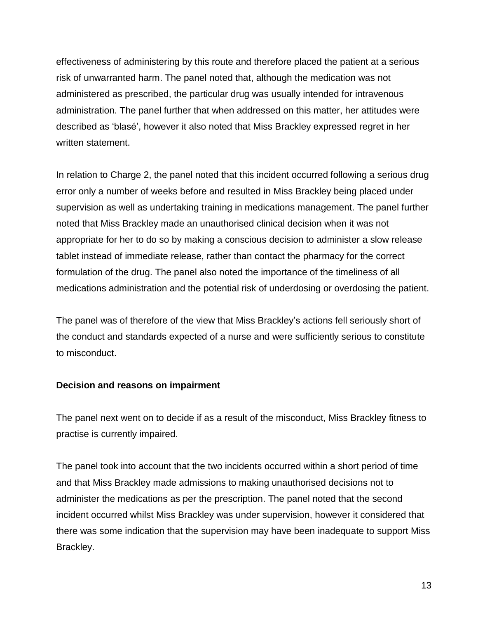effectiveness of administering by this route and therefore placed the patient at a serious risk of unwarranted harm. The panel noted that, although the medication was not administered as prescribed, the particular drug was usually intended for intravenous administration. The panel further that when addressed on this matter, her attitudes were described as 'blasé', however it also noted that Miss Brackley expressed regret in her written statement.

In relation to Charge 2, the panel noted that this incident occurred following a serious drug error only a number of weeks before and resulted in Miss Brackley being placed under supervision as well as undertaking training in medications management. The panel further noted that Miss Brackley made an unauthorised clinical decision when it was not appropriate for her to do so by making a conscious decision to administer a slow release tablet instead of immediate release, rather than contact the pharmacy for the correct formulation of the drug. The panel also noted the importance of the timeliness of all medications administration and the potential risk of underdosing or overdosing the patient.

The panel was of therefore of the view that Miss Brackley's actions fell seriously short of the conduct and standards expected of a nurse and were sufficiently serious to constitute to misconduct.

#### **Decision and reasons on impairment**

The panel next went on to decide if as a result of the misconduct, Miss Brackley fitness to practise is currently impaired.

The panel took into account that the two incidents occurred within a short period of time and that Miss Brackley made admissions to making unauthorised decisions not to administer the medications as per the prescription. The panel noted that the second incident occurred whilst Miss Brackley was under supervision, however it considered that there was some indication that the supervision may have been inadequate to support Miss Brackley.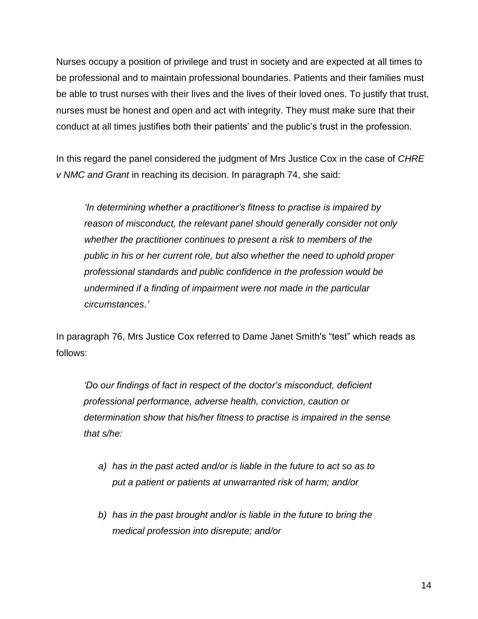Nurses occupy a position of privilege and trust in society and are expected at all times to be professional and to maintain professional boundaries. Patients and their families must be able to trust nurses with their lives and the lives of their loved ones. To justify that trust, nurses must be honest and open and act with integrity. They must make sure that their conduct at all times justifies both their patients' and the public's trust in the profession.

In this regard the panel considered the judgment of Mrs Justice Cox in the case of *CHRE v NMC and Grant* in reaching its decision. In paragraph 74, she said:

*'In determining whether a practitioner's fitness to practise is impaired by reason of misconduct, the relevant panel should generally consider not only whether the practitioner continues to present a risk to members of the public in his or her current role, but also whether the need to uphold proper professional standards and public confidence in the profession would be undermined if a finding of impairment were not made in the particular circumstances.'*

In paragraph 76, Mrs Justice Cox referred to Dame Janet Smith's "test" which reads as follows:

*'Do our findings of fact in respect of the doctor's misconduct, deficient professional performance, adverse health, conviction, caution or determination show that his/her fitness to practise is impaired in the sense that s/he:*

- *a) has in the past acted and/or is liable in the future to act so as to put a patient or patients at unwarranted risk of harm; and/or*
- *b) has in the past brought and/or is liable in the future to bring the medical profession into disrepute; and/or*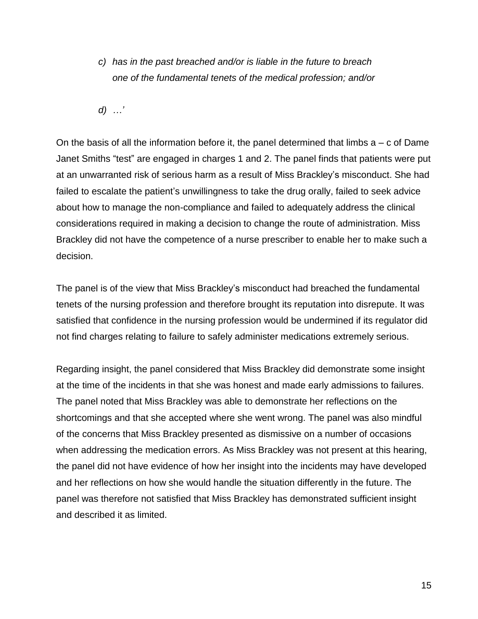*c) has in the past breached and/or is liable in the future to breach one of the fundamental tenets of the medical profession; and/or*

*d) …'*

On the basis of all the information before it, the panel determined that limbs  $a - c$  of Dame Janet Smiths "test" are engaged in charges 1 and 2. The panel finds that patients were put at an unwarranted risk of serious harm as a result of Miss Brackley's misconduct. She had failed to escalate the patient's unwillingness to take the drug orally, failed to seek advice about how to manage the non-compliance and failed to adequately address the clinical considerations required in making a decision to change the route of administration. Miss Brackley did not have the competence of a nurse prescriber to enable her to make such a decision.

The panel is of the view that Miss Brackley's misconduct had breached the fundamental tenets of the nursing profession and therefore brought its reputation into disrepute. It was satisfied that confidence in the nursing profession would be undermined if its regulator did not find charges relating to failure to safely administer medications extremely serious.

Regarding insight, the panel considered that Miss Brackley did demonstrate some insight at the time of the incidents in that she was honest and made early admissions to failures. The panel noted that Miss Brackley was able to demonstrate her reflections on the shortcomings and that she accepted where she went wrong. The panel was also mindful of the concerns that Miss Brackley presented as dismissive on a number of occasions when addressing the medication errors. As Miss Brackley was not present at this hearing, the panel did not have evidence of how her insight into the incidents may have developed and her reflections on how she would handle the situation differently in the future. The panel was therefore not satisfied that Miss Brackley has demonstrated sufficient insight and described it as limited.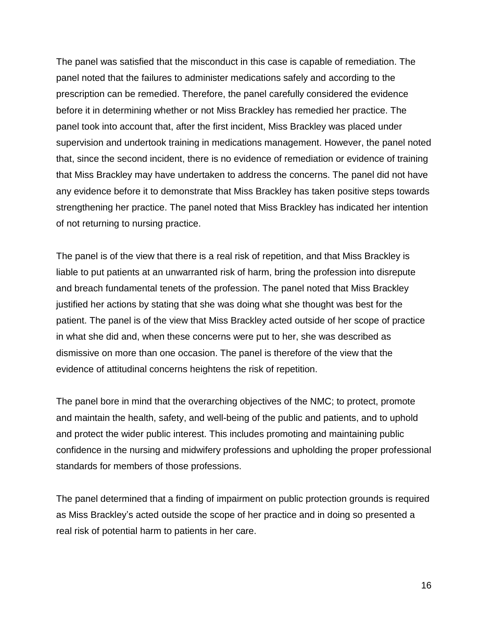The panel was satisfied that the misconduct in this case is capable of remediation. The panel noted that the failures to administer medications safely and according to the prescription can be remedied. Therefore, the panel carefully considered the evidence before it in determining whether or not Miss Brackley has remedied her practice. The panel took into account that, after the first incident, Miss Brackley was placed under supervision and undertook training in medications management. However, the panel noted that, since the second incident, there is no evidence of remediation or evidence of training that Miss Brackley may have undertaken to address the concerns. The panel did not have any evidence before it to demonstrate that Miss Brackley has taken positive steps towards strengthening her practice. The panel noted that Miss Brackley has indicated her intention of not returning to nursing practice.

The panel is of the view that there is a real risk of repetition, and that Miss Brackley is liable to put patients at an unwarranted risk of harm, bring the profession into disrepute and breach fundamental tenets of the profession. The panel noted that Miss Brackley justified her actions by stating that she was doing what she thought was best for the patient. The panel is of the view that Miss Brackley acted outside of her scope of practice in what she did and, when these concerns were put to her, she was described as dismissive on more than one occasion. The panel is therefore of the view that the evidence of attitudinal concerns heightens the risk of repetition.

The panel bore in mind that the overarching objectives of the NMC; to protect, promote and maintain the health, safety, and well-being of the public and patients, and to uphold and protect the wider public interest. This includes promoting and maintaining public confidence in the nursing and midwifery professions and upholding the proper professional standards for members of those professions.

The panel determined that a finding of impairment on public protection grounds is required as Miss Brackley's acted outside the scope of her practice and in doing so presented a real risk of potential harm to patients in her care.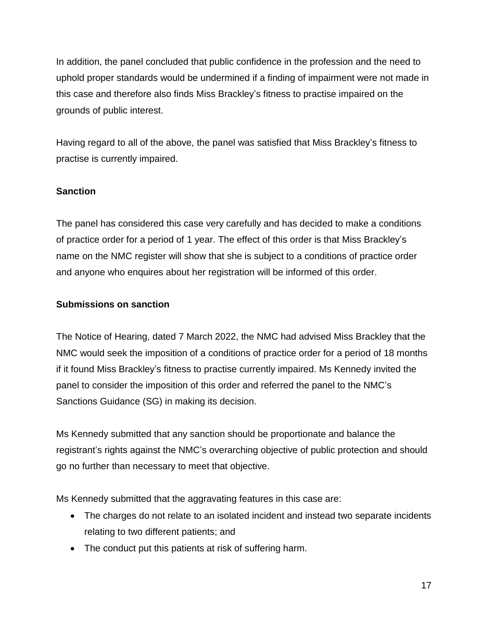In addition, the panel concluded that public confidence in the profession and the need to uphold proper standards would be undermined if a finding of impairment were not made in this case and therefore also finds Miss Brackley's fitness to practise impaired on the grounds of public interest.

Having regard to all of the above, the panel was satisfied that Miss Brackley's fitness to practise is currently impaired.

# **Sanction**

The panel has considered this case very carefully and has decided to make a conditions of practice order for a period of 1 year. The effect of this order is that Miss Brackley's name on the NMC register will show that she is subject to a conditions of practice order and anyone who enquires about her registration will be informed of this order.

# **Submissions on sanction**

The Notice of Hearing, dated 7 March 2022, the NMC had advised Miss Brackley that the NMC would seek the imposition of a conditions of practice order for a period of 18 months if it found Miss Brackley's fitness to practise currently impaired. Ms Kennedy invited the panel to consider the imposition of this order and referred the panel to the NMC's Sanctions Guidance (SG) in making its decision.

Ms Kennedy submitted that any sanction should be proportionate and balance the registrant's rights against the NMC's overarching objective of public protection and should go no further than necessary to meet that objective.

Ms Kennedy submitted that the aggravating features in this case are:

- The charges do not relate to an isolated incident and instead two separate incidents relating to two different patients; and
- The conduct put this patients at risk of suffering harm.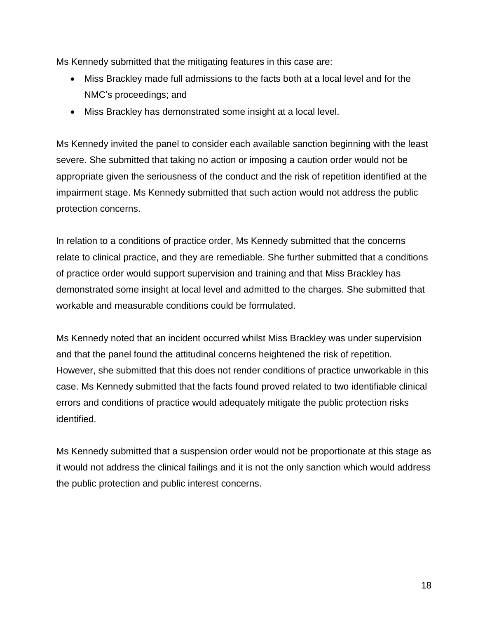Ms Kennedy submitted that the mitigating features in this case are:

- Miss Brackley made full admissions to the facts both at a local level and for the NMC's proceedings; and
- Miss Brackley has demonstrated some insight at a local level.

Ms Kennedy invited the panel to consider each available sanction beginning with the least severe. She submitted that taking no action or imposing a caution order would not be appropriate given the seriousness of the conduct and the risk of repetition identified at the impairment stage. Ms Kennedy submitted that such action would not address the public protection concerns.

In relation to a conditions of practice order, Ms Kennedy submitted that the concerns relate to clinical practice, and they are remediable. She further submitted that a conditions of practice order would support supervision and training and that Miss Brackley has demonstrated some insight at local level and admitted to the charges. She submitted that workable and measurable conditions could be formulated.

Ms Kennedy noted that an incident occurred whilst Miss Brackley was under supervision and that the panel found the attitudinal concerns heightened the risk of repetition. However, she submitted that this does not render conditions of practice unworkable in this case. Ms Kennedy submitted that the facts found proved related to two identifiable clinical errors and conditions of practice would adequately mitigate the public protection risks identified.

Ms Kennedy submitted that a suspension order would not be proportionate at this stage as it would not address the clinical failings and it is not the only sanction which would address the public protection and public interest concerns.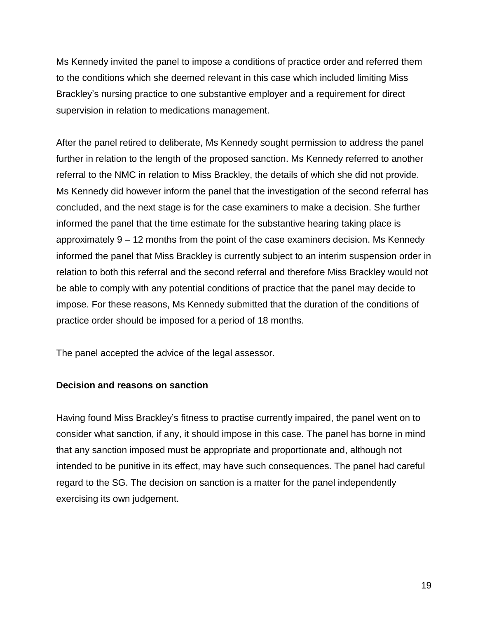Ms Kennedy invited the panel to impose a conditions of practice order and referred them to the conditions which she deemed relevant in this case which included limiting Miss Brackley's nursing practice to one substantive employer and a requirement for direct supervision in relation to medications management.

After the panel retired to deliberate, Ms Kennedy sought permission to address the panel further in relation to the length of the proposed sanction. Ms Kennedy referred to another referral to the NMC in relation to Miss Brackley, the details of which she did not provide. Ms Kennedy did however inform the panel that the investigation of the second referral has concluded, and the next stage is for the case examiners to make a decision. She further informed the panel that the time estimate for the substantive hearing taking place is approximately 9 – 12 months from the point of the case examiners decision. Ms Kennedy informed the panel that Miss Brackley is currently subject to an interim suspension order in relation to both this referral and the second referral and therefore Miss Brackley would not be able to comply with any potential conditions of practice that the panel may decide to impose. For these reasons, Ms Kennedy submitted that the duration of the conditions of practice order should be imposed for a period of 18 months.

The panel accepted the advice of the legal assessor.

# **Decision and reasons on sanction**

Having found Miss Brackley's fitness to practise currently impaired, the panel went on to consider what sanction, if any, it should impose in this case. The panel has borne in mind that any sanction imposed must be appropriate and proportionate and, although not intended to be punitive in its effect, may have such consequences. The panel had careful regard to the SG. The decision on sanction is a matter for the panel independently exercising its own judgement.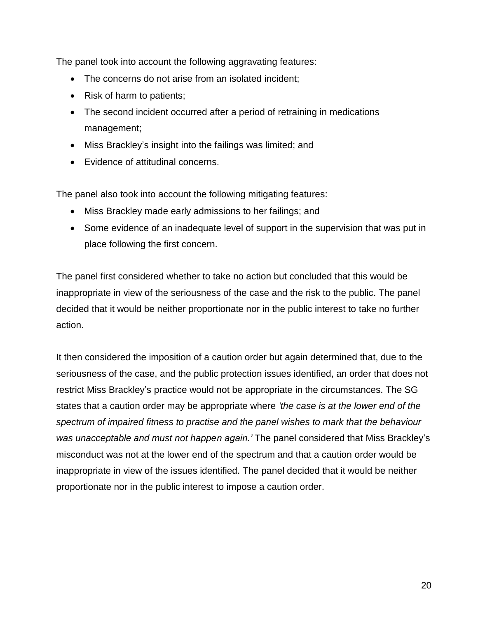The panel took into account the following aggravating features:

- The concerns do not arise from an isolated incident;
- Risk of harm to patients;
- The second incident occurred after a period of retraining in medications management;
- Miss Brackley's insight into the failings was limited; and
- Evidence of attitudinal concerns.

The panel also took into account the following mitigating features:

- Miss Brackley made early admissions to her failings; and
- Some evidence of an inadequate level of support in the supervision that was put in place following the first concern.

The panel first considered whether to take no action but concluded that this would be inappropriate in view of the seriousness of the case and the risk to the public. The panel decided that it would be neither proportionate nor in the public interest to take no further action.

It then considered the imposition of a caution order but again determined that, due to the seriousness of the case, and the public protection issues identified, an order that does not restrict Miss Brackley's practice would not be appropriate in the circumstances. The SG states that a caution order may be appropriate where *'the case is at the lower end of the spectrum of impaired fitness to practise and the panel wishes to mark that the behaviour was unacceptable and must not happen again.'* The panel considered that Miss Brackley's misconduct was not at the lower end of the spectrum and that a caution order would be inappropriate in view of the issues identified. The panel decided that it would be neither proportionate nor in the public interest to impose a caution order.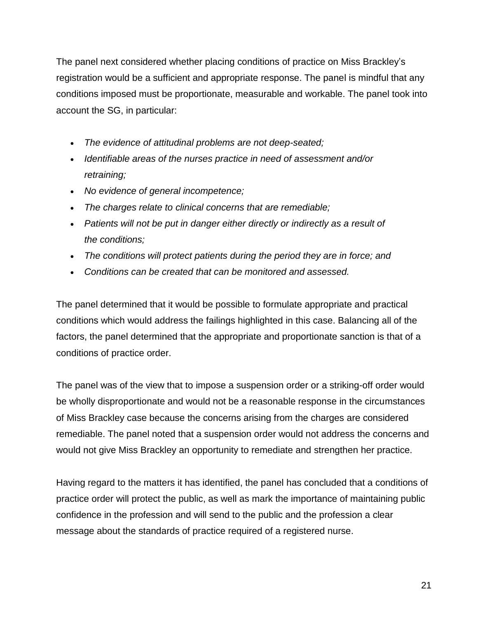The panel next considered whether placing conditions of practice on Miss Brackley's registration would be a sufficient and appropriate response. The panel is mindful that any conditions imposed must be proportionate, measurable and workable. The panel took into account the SG, in particular:

- *The evidence of attitudinal problems are not deep-seated;*
- *Identifiable areas of the nurses practice in need of assessment and/or retraining;*
- *No evidence of general incompetence;*
- *The charges relate to clinical concerns that are remediable;*
- *Patients will not be put in danger either directly or indirectly as a result of the conditions;*
- *The conditions will protect patients during the period they are in force; and*
- *Conditions can be created that can be monitored and assessed.*

The panel determined that it would be possible to formulate appropriate and practical conditions which would address the failings highlighted in this case. Balancing all of the factors, the panel determined that the appropriate and proportionate sanction is that of a conditions of practice order.

The panel was of the view that to impose a suspension order or a striking-off order would be wholly disproportionate and would not be a reasonable response in the circumstances of Miss Brackley case because the concerns arising from the charges are considered remediable. The panel noted that a suspension order would not address the concerns and would not give Miss Brackley an opportunity to remediate and strengthen her practice.

Having regard to the matters it has identified, the panel has concluded that a conditions of practice order will protect the public, as well as mark the importance of maintaining public confidence in the profession and will send to the public and the profession a clear message about the standards of practice required of a registered nurse.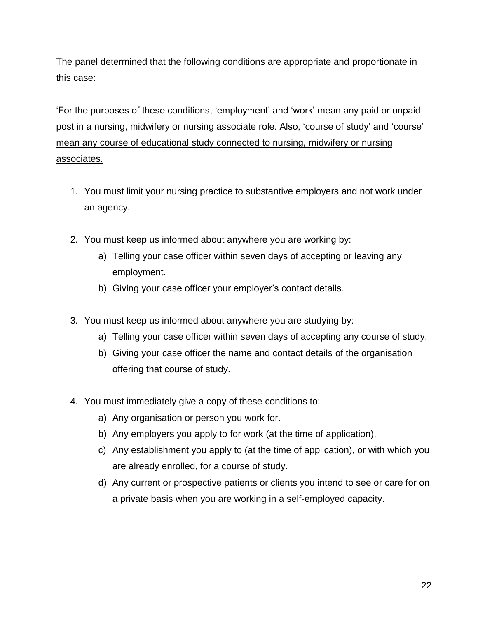The panel determined that the following conditions are appropriate and proportionate in this case:

'For the purposes of these conditions, 'employment' and 'work' mean any paid or unpaid post in a nursing, midwifery or nursing associate role. Also, 'course of study' and 'course' mean any course of educational study connected to nursing, midwifery or nursing associates.

- 1. You must limit your nursing practice to substantive employers and not work under an agency.
- 2. You must keep us informed about anywhere you are working by:
	- a) Telling your case officer within seven days of accepting or leaving any employment.
	- b) Giving your case officer your employer's contact details.
- 3. You must keep us informed about anywhere you are studying by:
	- a) Telling your case officer within seven days of accepting any course of study.
	- b) Giving your case officer the name and contact details of the organisation offering that course of study.
- 4. You must immediately give a copy of these conditions to:
	- a) Any organisation or person you work for.
	- b) Any employers you apply to for work (at the time of application).
	- c) Any establishment you apply to (at the time of application), or with which you are already enrolled, for a course of study.
	- d) Any current or prospective patients or clients you intend to see or care for on a private basis when you are working in a self-employed capacity.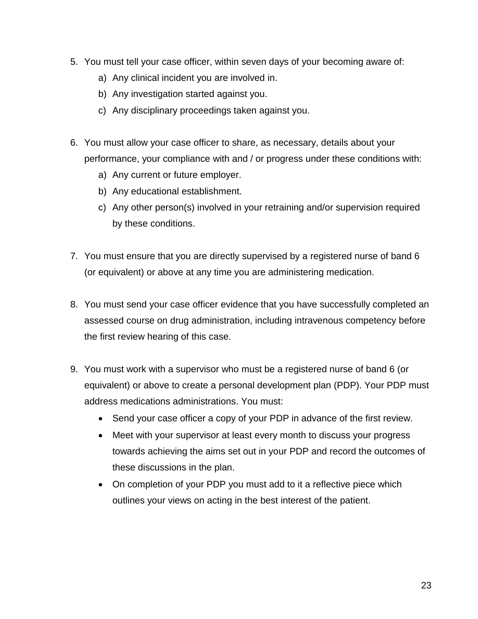- 5. You must tell your case officer, within seven days of your becoming aware of:
	- a) Any clinical incident you are involved in.
	- b) Any investigation started against you.
	- c) Any disciplinary proceedings taken against you.
- 6. You must allow your case officer to share, as necessary, details about your performance, your compliance with and / or progress under these conditions with:
	- a) Any current or future employer.
	- b) Any educational establishment.
	- c) Any other person(s) involved in your retraining and/or supervision required by these conditions.
- 7. You must ensure that you are directly supervised by a registered nurse of band 6 (or equivalent) or above at any time you are administering medication.
- 8. You must send your case officer evidence that you have successfully completed an assessed course on drug administration, including intravenous competency before the first review hearing of this case.
- 9. You must work with a supervisor who must be a registered nurse of band 6 (or equivalent) or above to create a personal development plan (PDP). Your PDP must address medications administrations. You must:
	- Send your case officer a copy of your PDP in advance of the first review.
	- Meet with your supervisor at least every month to discuss your progress towards achieving the aims set out in your PDP and record the outcomes of these discussions in the plan.
	- On completion of your PDP you must add to it a reflective piece which outlines your views on acting in the best interest of the patient.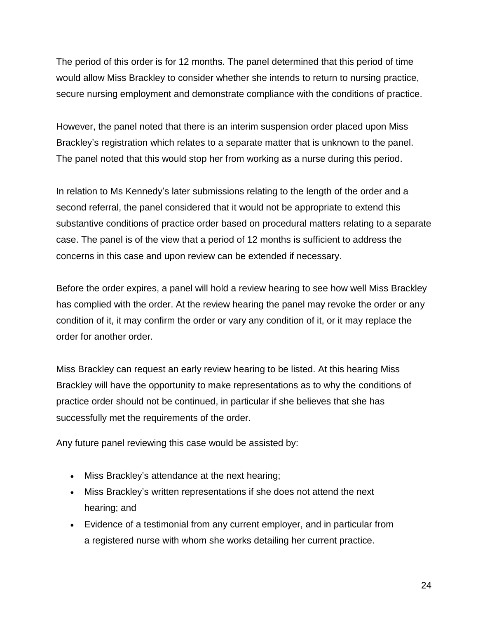The period of this order is for 12 months. The panel determined that this period of time would allow Miss Brackley to consider whether she intends to return to nursing practice, secure nursing employment and demonstrate compliance with the conditions of practice.

However, the panel noted that there is an interim suspension order placed upon Miss Brackley's registration which relates to a separate matter that is unknown to the panel. The panel noted that this would stop her from working as a nurse during this period.

In relation to Ms Kennedy's later submissions relating to the length of the order and a second referral, the panel considered that it would not be appropriate to extend this substantive conditions of practice order based on procedural matters relating to a separate case. The panel is of the view that a period of 12 months is sufficient to address the concerns in this case and upon review can be extended if necessary.

Before the order expires, a panel will hold a review hearing to see how well Miss Brackley has complied with the order. At the review hearing the panel may revoke the order or any condition of it, it may confirm the order or vary any condition of it, or it may replace the order for another order.

Miss Brackley can request an early review hearing to be listed. At this hearing Miss Brackley will have the opportunity to make representations as to why the conditions of practice order should not be continued, in particular if she believes that she has successfully met the requirements of the order.

Any future panel reviewing this case would be assisted by:

- Miss Brackley's attendance at the next hearing;
- Miss Brackley's written representations if she does not attend the next hearing; and
- Evidence of a testimonial from any current employer, and in particular from a registered nurse with whom she works detailing her current practice.